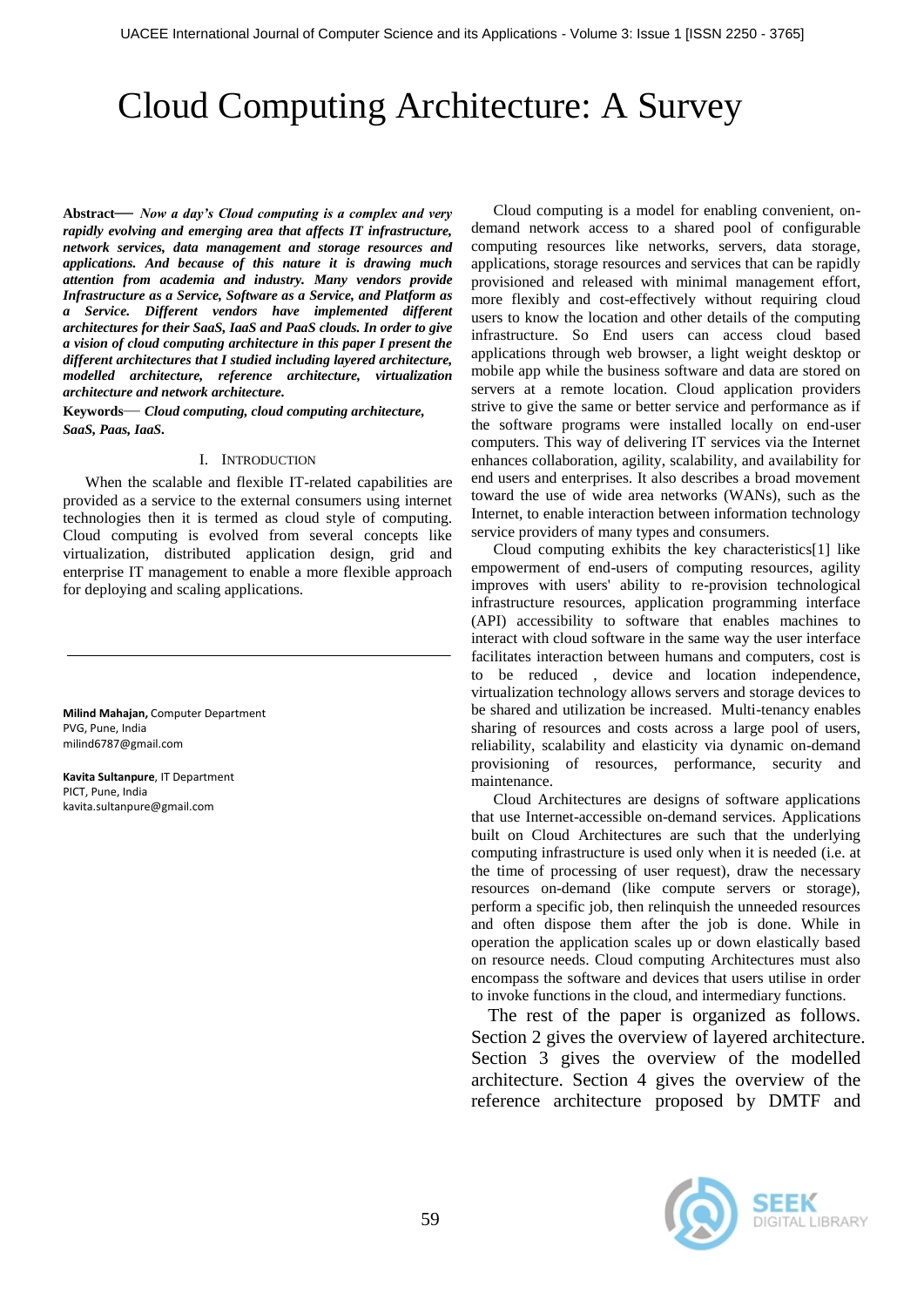# Cloud Computing Architecture: A Survey

**Abstract***— Now a day's Cloud computing is a complex and very rapidly evolving and emerging area that affects IT infrastructure, network services, data management and storage resources and applications. And because of this nature it is drawing much attention from academia and industry. Many vendors provide Infrastructure as a Service, Software as a Service, and Platform as a Service. Different vendors have implemented different architectures for their SaaS, IaaS and PaaS clouds. In order to give a vision of cloud computing architecture in this paper I present the different architectures that I studied including layered architecture, modelled architecture, reference architecture, virtualization architecture and network architecture.*

**Keywords***— Cloud computing, cloud computing architecture, SaaS, Paas, IaaS.*

#### I. INTRODUCTION

When the scalable and flexible IT-related capabilities are provided as a service to the external consumers using internet technologies then it is termed as cloud style of computing. Cloud computing is evolved from several concepts like virtualization, distributed application design, grid and enterprise IT management to enable a more flexible approach for deploying and scaling applications.

**Milind Mahajan,** Computer Department PVG, Pune, India milind6787@gmail.com

**Kavita Sultanpure**, IT Department PICT, Pune, India kavita.sultanpure@gmail.com

Cloud computing is a model for enabling convenient, ondemand network access to a shared pool of configurable computing resources like networks, servers, data storage, applications, storage resources and services that can be rapidly provisioned and released with minimal management effort, more flexibly and cost-effectively without requiring cloud users to know the location and other details of the computing infrastructure. So End users can access cloud based applications through web browser, a light weight desktop or mobile app while the business software and data are stored on servers at a remote location. Cloud application providers strive to give the same or better service and performance as if the software programs were installed locally on end-user computers. This way of delivering IT services via the Internet enhances collaboration, agility, scalability, and availability for end users and enterprises. It also describes a broad movement toward the use of wide area networks (WANs), such as the Internet, to enable interaction between information technology service providers of many types and consumers.

Cloud computing exhibits the key characteristics[1] like empowerment of end-users of computing resources, agility improves with users' ability to re-provision technological infrastructure resources, application programming interface (API) accessibility to software that enables machines to interact with cloud software in the same way the user interface facilitates interaction between humans and computers, cost is to be reduced , device and location independence, virtualization technology allows servers and storage devices to be shared and utilization be increased. Multi-tenancy enables sharing of resources and costs across a large pool of users, reliability, scalability and elasticity via dynamic on-demand provisioning of resources, performance, security and maintenance.

Cloud Architectures are designs of software applications that use Internet-accessible on-demand services. Applications built on Cloud Architectures are such that the underlying computing infrastructure is used only when it is needed (i.e. at the time of processing of user request), draw the necessary resources on-demand (like compute servers or storage), perform a specific job, then relinquish the unneeded resources and often dispose them after the job is done. While in operation the application scales up or down elastically based on resource needs. Cloud computing Architectures must also encompass the software and devices that users utilise in order to invoke functions in the cloud, and intermediary functions.

The rest of the paper is organized as follows. Section 2 gives the overview of layered architecture. Section 3 gives the overview of the modelled architecture. Section 4 gives the overview of the reference architecture proposed by DMTF and

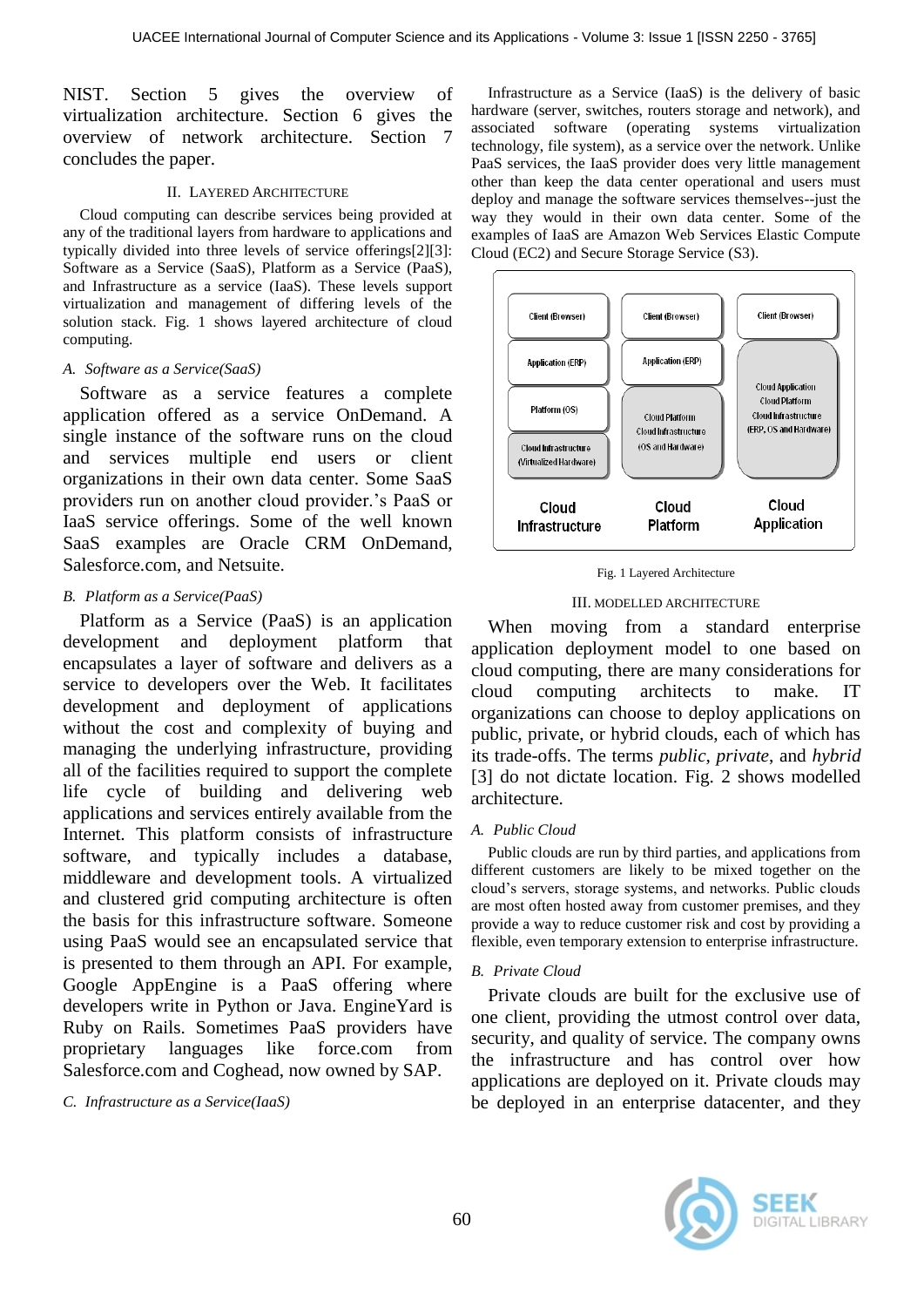NIST. Section 5 gives the overview of virtualization architecture. Section 6 gives the overview of network architecture. Section 7 concludes the paper.

## II. LAYERED ARCHITECTURE

Cloud computing can describe services being provided at any of the traditional layers from hardware to applications and typically divided into three levels of service offerings[2][3]: Software as a Service (SaaS), Platform as a Service (PaaS), and Infrastructure as a service (IaaS). These levels support virtualization and management of differing levels of the solution stack. Fig. 1 shows layered architecture of cloud computing.

## *A. Software as a Service(SaaS)*

Software as a service features a complete application offered as a service OnDemand. A single instance of the software runs on the cloud and services multiple end users or client organizations in their own data center. Some SaaS providers run on another cloud provider.'s PaaS or IaaS service offerings. Some of the well known SaaS examples are Oracle CRM OnDemand, Salesforce.com, and Netsuite.

## *B. Platform as a Service(PaaS)*

Platform as a Service (PaaS) is an application development and deployment platform that encapsulates a layer of software and delivers as a service to developers over the Web. It facilitates development and deployment of applications without the cost and complexity of buying and managing the underlying infrastructure, providing all of the facilities required to support the complete life cycle of building and delivering web applications and services entirely available from the Internet. This platform consists of infrastructure software, and typically includes a database, middleware and development tools. A virtualized and clustered grid computing architecture is often the basis for this infrastructure software. Someone using PaaS would see an encapsulated service that is presented to them through an API. For example, Google AppEngine is a PaaS offering where developers write in Python or Java. EngineYard is Ruby on Rails. Sometimes PaaS providers have proprietary languages like force.com from Salesforce.com and Coghead, now owned by SAP.

*C. Infrastructure as a Service(IaaS)*

Infrastructure as a Service (IaaS) is the delivery of basic hardware (server, switches, routers storage and network), and associated software (operating systems virtualization technology, file system), as a service over the network. Unlike PaaS services, the IaaS provider does very little management other than keep the data center operational and users must deploy and manage the software services themselves--just the way they would in their own data center. Some of the examples of IaaS are Amazon Web Services Elastic Compute Cloud (EC2) and Secure Storage Service (S3).





## III. MODELLED ARCHITECTURE

When moving from a standard enterprise application deployment model to one based on cloud computing, there are many considerations for cloud computing architects to make. IT organizations can choose to deploy applications on public, private, or hybrid clouds, each of which has its trade-offs. The terms *public*, *private*, and *hybrid*  [3] do not dictate location. Fig. 2 shows modelled architecture.

## *A. Public Cloud*

Public clouds are run by third parties, and applications from different customers are likely to be mixed together on the cloud's servers, storage systems, and networks. Public clouds are most often hosted away from customer premises, and they provide a way to reduce customer risk and cost by providing a flexible, even temporary extension to enterprise infrastructure.

## *B. Private Cloud*

Private clouds are built for the exclusive use of one client, providing the utmost control over data, security, and quality of service. The company owns the infrastructure and has control over how applications are deployed on it. Private clouds may be deployed in an enterprise datacenter, and they

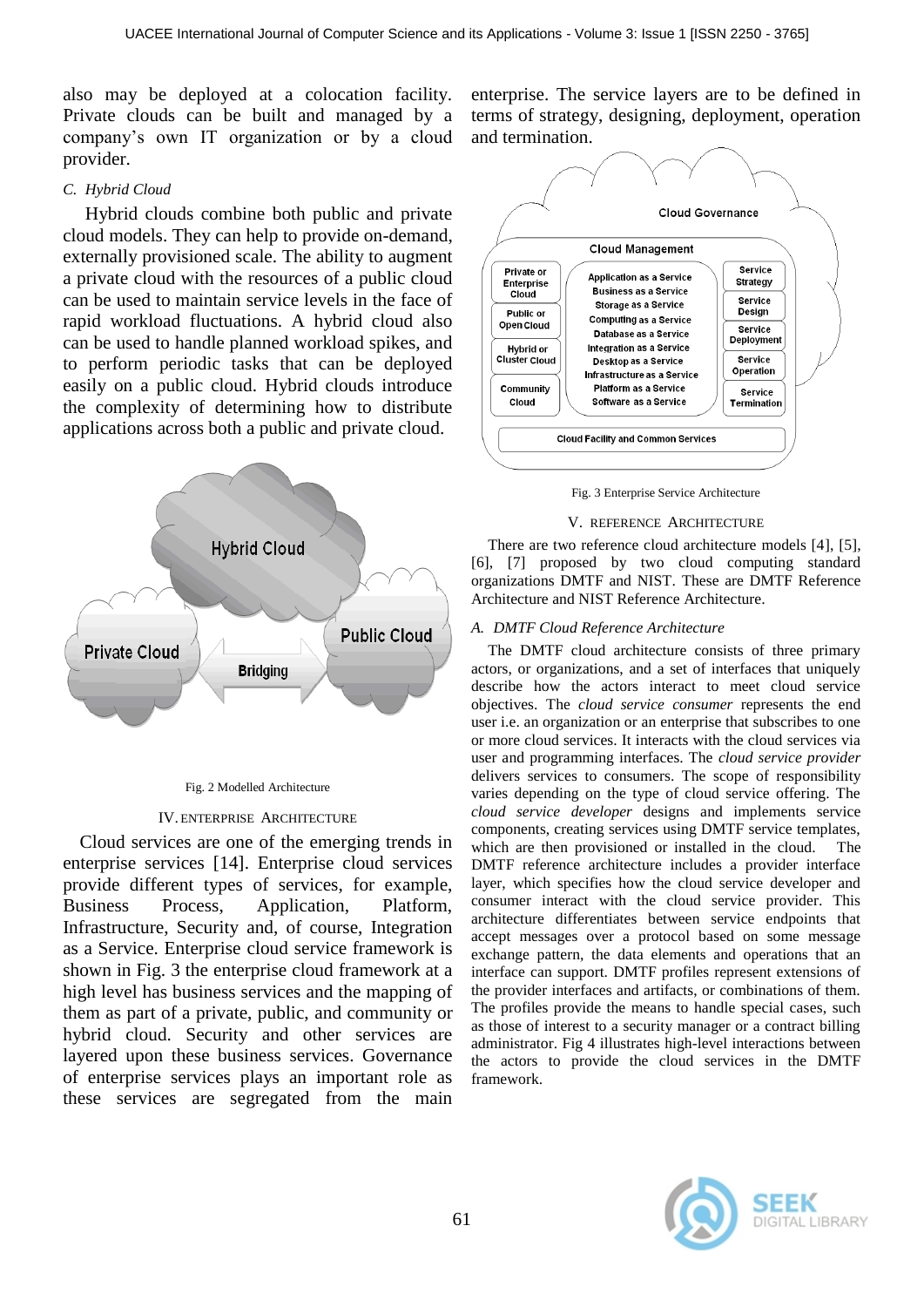also may be deployed at a colocation facility. Private clouds can be built and managed by a company's own IT organization or by a cloud provider.

## *C. Hybrid Cloud*

Hybrid clouds combine both public and private cloud models. They can help to provide on-demand, externally provisioned scale. The ability to augment a private cloud with the resources of a public cloud can be used to maintain service levels in the face of rapid workload fluctuations. A hybrid cloud also can be used to handle planned workload spikes, and to perform periodic tasks that can be deployed easily on a public cloud. Hybrid clouds introduce the complexity of determining how to distribute applications across both a public and private cloud.



#### Fig. 2 Modelled Architecture

## IV. ENTERPRISE ARCHITECTURE

Cloud services are one of the emerging trends in enterprise services [14]. Enterprise cloud services provide different types of services, for example, Business Process, Application, Platform, Infrastructure, Security and, of course, Integration as a Service. Enterprise cloud service framework is shown in Fig. 3 the enterprise cloud framework at a high level has business services and the mapping of them as part of a private, public, and community or hybrid cloud. Security and other services are layered upon these business services. Governance of enterprise services plays an important role as these services are segregated from the main

enterprise. The service layers are to be defined in terms of strategy, designing, deployment, operation and termination.



Fig. 3 Enterprise Service Architecture

#### V. REFERENCE ARCHITECTURE

There are two reference cloud architecture models [4], [5], [6], [7] proposed by two cloud computing standard organizations DMTF and NIST. These are DMTF Reference Architecture and NIST Reference Architecture.

## *A. DMTF Cloud Reference Architecture*

The DMTF cloud architecture consists of three primary actors, or organizations, and a set of interfaces that uniquely describe how the actors interact to meet cloud service objectives. The *cloud service consumer* represents the end user i.e. an organization or an enterprise that subscribes to one or more cloud services. It interacts with the cloud services via user and programming interfaces. The *cloud service provider*  delivers services to consumers. The scope of responsibility varies depending on the type of cloud service offering. The *cloud service developer* designs and implements service components, creating services using DMTF service templates, which are then provisioned or installed in the cloud. The DMTF reference architecture includes a provider interface layer, which specifies how the cloud service developer and consumer interact with the cloud service provider. This architecture differentiates between service endpoints that accept messages over a protocol based on some message exchange pattern, the data elements and operations that an interface can support. DMTF profiles represent extensions of the provider interfaces and artifacts, or combinations of them. The profiles provide the means to handle special cases, such as those of interest to a security manager or a contract billing administrator. Fig 4 illustrates high-level interactions between the actors to provide the cloud services in the DMTF framework.

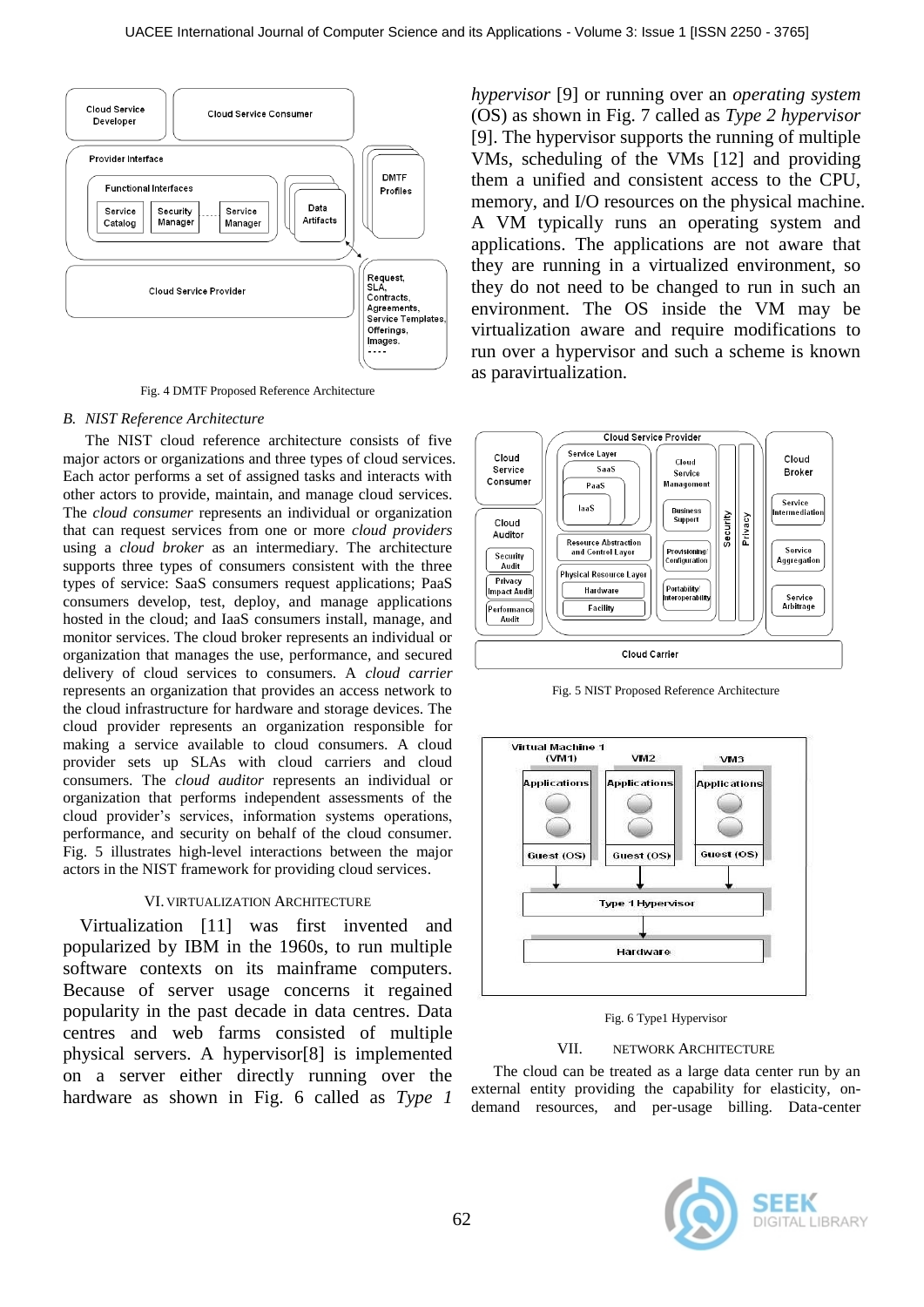

Fig. 4 DMTF Proposed Reference Architecture

#### *B. NIST Reference Architecture*

The NIST cloud reference architecture consists of five major actors or organizations and three types of cloud services. Each actor performs a set of assigned tasks and interacts with other actors to provide, maintain, and manage cloud services. The *cloud consumer* represents an individual or organization that can request services from one or more *cloud providers*  using a *cloud broker* as an intermediary. The architecture supports three types of consumers consistent with the three types of service: SaaS consumers request applications; PaaS consumers develop, test, deploy, and manage applications hosted in the cloud; and IaaS consumers install, manage, and monitor services. The cloud broker represents an individual or organization that manages the use, performance, and secured delivery of cloud services to consumers. A *cloud carrier*  represents an organization that provides an access network to the cloud infrastructure for hardware and storage devices. The cloud provider represents an organization responsible for making a service available to cloud consumers. A cloud provider sets up SLAs with cloud carriers and cloud consumers. The *cloud auditor* represents an individual or organization that performs independent assessments of the cloud provider's services, information systems operations, performance, and security on behalf of the cloud consumer. Fig. 5 illustrates high-level interactions between the major actors in the NIST framework for providing cloud services.

### VI. VIRTUALIZATION ARCHITECTURE

Virtualization [11] was first invented and popularized by IBM in the 1960s, to run multiple software contexts on its mainframe computers. Because of server usage concerns it regained popularity in the past decade in data centres. Data centres and web farms consisted of multiple physical servers. A hypervisor[8] is implemented on a server either directly running over the hardware as shown in Fig. 6 called as *Type 1* 

*hypervisor* [9] or running over an *operating system* (OS) as shown in Fig. 7 called as *Type 2 hypervisor* [9]. The hypervisor supports the running of multiple VMs, scheduling of the VMs [12] and providing them a unified and consistent access to the CPU, memory, and I/O resources on the physical machine. A VM typically runs an operating system and applications. The applications are not aware that they are running in a virtualized environment, so they do not need to be changed to run in such an environment. The OS inside the VM may be virtualization aware and require modifications to run over a hypervisor and such a scheme is known as paravirtualization.



Fig. 5 NIST Proposed Reference Architecture



Fig. 6 Type1 Hypervisor

#### VII. NETWORK ARCHITECTURE

The cloud can be treated as a large data center run by an external entity providing the capability for elasticity, ondemand resources, and per-usage billing. Data-center